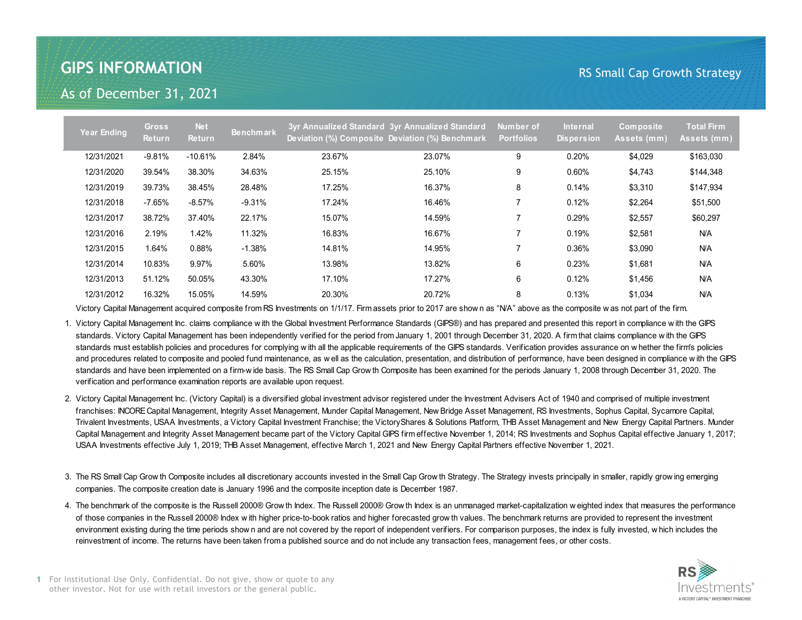## **GIPS INFORMATION**

## RS Small Cap Growth Strategy

As of December 31, 2021

| Year Ending | <b>Gross</b><br><b>Return</b> | <b>Net</b><br><b>Return</b> | <b>Benchmark</b> |        | 3yr Annualized Standard 3yr Annualized Standard<br>Deviation (%) Composite Deviation (%) Benchmark | Number of<br><b>Portfolios</b> | <b>Internal</b><br><b>Dispersion</b> | Composite<br>Assets (mm) | <b>Total Firm</b><br>Assets (mm) |
|-------------|-------------------------------|-----------------------------|------------------|--------|----------------------------------------------------------------------------------------------------|--------------------------------|--------------------------------------|--------------------------|----------------------------------|
| 12/31/2021  | $-9.81\%$                     | $-10.61\%$                  | 2.84%            | 23.67% | 23.07%                                                                                             | 9                              | 0.20%                                | \$4,029                  | \$163,030                        |
| 12/31/2020  | 39.54%                        | 38.30%                      | 34.63%           | 25.15% | 25.10%                                                                                             | 9                              | $0.60\%$                             | \$4,743                  | \$144,348                        |
| 12/31/2019  | 39.73%                        | 38.45%                      | 28.48%           | 17.25% | 16.37%                                                                                             | 8                              | 0.14%                                | \$3,310                  | \$147,934                        |
| 12/31/2018  | -7.65%                        | $-8.57\%$                   | $-9.31%$         | 17.24% | 16.46%                                                                                             | $\overline{7}$                 | 0.12%                                | \$2,264                  | \$51,500                         |
| 12/31/2017  | 38.72%                        | 37.40%                      | 22.17%           | 15.07% | 14.59%                                                                                             |                                | 0.29%                                | \$2,557                  | \$60,297                         |
| 12/31/2016  | 2.19%                         | 1.42%                       | 11.32%           | 16.83% | 16.67%                                                                                             |                                | 0.19%                                | \$2,581                  | <b>N/A</b>                       |
| 12/31/2015  | 1.64%                         | 0.88%                       | $-1.38%$         | 14.81% | 14.95%                                                                                             | 7                              | 0.36%                                | \$3,090                  | N/A                              |
| 12/31/2014  | 10.83%                        | 9.97%                       | 5.60%            | 13.98% | 13.82%                                                                                             | 6                              | 0.23%                                | \$1,681                  | <b>N/A</b>                       |
| 12/31/2013  | 51.12%                        | 50.05%                      | 43.30%           | 17.10% | 17.27%                                                                                             | 6                              | 0.12%                                | \$1,456                  | <b>N/A</b>                       |
| 12/31/2012  | 16.32%                        | 15.05%                      | 14.59%           | 20.30% | 20.72%                                                                                             | 8                              | 0.13%                                | \$1,034                  | <b>N/A</b>                       |

Victory Capital Management acquired composite from RS Investments on 1/1/17. Firm assets prior to 2017 are show n as "N/A" above as the composite w as not part of the firm.

1. Victory Capital Management Inc. claims compliance w ith the Global Investment Performance Standards (GIPS®) and has prepared and presented this report in compliance w ith the GIPS standards. Victory Capital Management has been independently verified for the period from January 1, 2001 through December 31, 2020. A firm that claims compliance w ith the GIPS standards must establish policies and procedures for complying w ith all the applicable requirements of the GIPS standards. Verification provides assurance on w hether the firm's policies and procedures related to composite and pooled fund maintenance, as w ell as the calculation, presentation, and distribution of performance, have been designed in compliance w ith the GIPS standards and have been implemented on a firm-w ide basis. The RS Small Cap Grow th Composite has been examined for the periods January 1, 2008 through December 31, 2020. The verification and performance examination reports are available upon request.

- 2. Victory Capital Management Inc. (Victory Capital) is a diversified global investment advisor registered under the Investment Advisers Act of 1940 and comprised of multiple investment franchises: INCORE Capital Management, Integrity Asset Management, Munder Capital Management, New Bridge Asset Management, RS Investments, Sophus Capital, Sycamore Capital, Trivalent Investments, USAA Investments, a Victory Capital Investment Franchise; the VictoryShares & Solutions Platform, THB Asset Management and New Energy Capital Partners. Munder Capital Management and Integrity Asset Management became part of the Victory Capital GIPS firm effective November 1, 2014; RS Investments and Sophus Capital effective January 1, 2017; USAA Investments effective July 1, 2019; THB Asset Management, effective March 1, 2021 and New Energy Capital Partners effective November 1, 2021.
- 3. The RS Small Cap Grow th Composite includes all discretionary accounts invested in the Small Cap Grow th Strategy. The Strategy invests principally in smaller, rapidly grow ing emerging companies. The composite creation date is January 1996 and the composite inception date is December 1987.
- 4. The benchmark of the composite is the Russell 2000® Grow th Index. The Russell 2000® Grow th Index is an unmanaged market-capitalization w eighted index that measures the performance of those companies in the Russell 2000® Index w ith higher price-to-book ratios and higher forecasted grow th values. The benchmark returns are provided to represent the investment environment existing during the time periods show n and are not covered by the report of independent verifiers. For comparison purposes, the index is fully invested, w hich includes the reinvestment of income. The returns have been taken from a published source and do not include any transaction fees, management fees, or other costs.